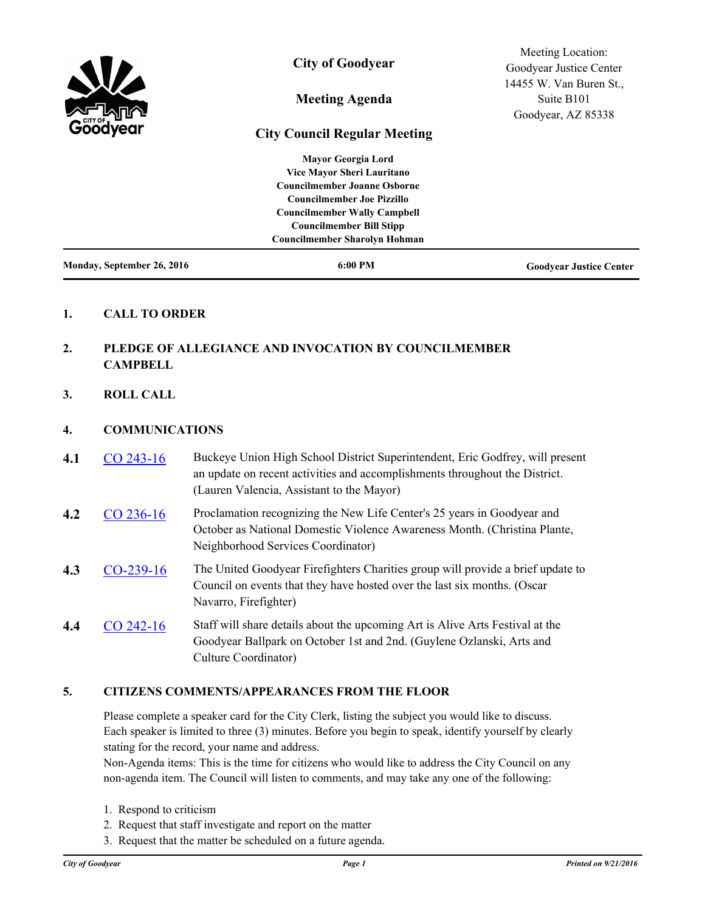| Monday, September 26, 2016 | 6:00 PM                              | <b>Goodvear Justice Center</b> |
|----------------------------|--------------------------------------|--------------------------------|
|                            | <b>Councilmember Sharolyn Hohman</b> |                                |
|                            | <b>Councilmember Bill Stipp</b>      |                                |
|                            | <b>Councilmember Wally Campbell</b>  |                                |
|                            | <b>Councilmember Joe Pizzillo</b>    |                                |
|                            | <b>Councilmember Joanne Osborne</b>  |                                |
|                            | Vice Mayor Sheri Lauritano           |                                |
|                            | <b>Mayor Georgia Lord</b>            |                                |
| <b>Surger</b><br>Göödyear  | <b>City Council Regular Meeting</b>  |                                |
|                            | <b>Meeting Agenda</b>                | Goodyear, AZ 85338             |
|                            |                                      | Suite B <sub>101</sub>         |
|                            |                                      | 14455 W. Van Buren St.,        |
|                            |                                      | Goodyear Justice Center        |
|                            | <b>City of Goodyear</b>              | Meeting Location:              |

## **1. CALL TO ORDER**

# **2. PLEDGE OF ALLEGIANCE AND INVOCATION BY COUNCILMEMBER CAMPBELL**

**3. ROLL CALL**

### **4. COMMUNICATIONS**

- **4.1** [CO 243-16](http://goodyear.legistar.com/gateway.aspx?m=l&id=/matter.aspx?key=3314) Buckeye Union High School District Superintendent, Eric Godfrey, will present an update on recent activities and accomplishments throughout the District. (Lauren Valencia, Assistant to the Mayor)
- **4.2** [CO 236-16](http://goodyear.legistar.com/gateway.aspx?m=l&id=/matter.aspx?key=3252) Proclamation recognizing the New Life Center's 25 years in Goodyear and October as National Domestic Violence Awareness Month. (Christina Plante, Neighborhood Services Coordinator)
- **4.3** [CO-239-16](http://goodyear.legistar.com/gateway.aspx?m=l&id=/matter.aspx?key=3317) The United Goodyear Firefighters Charities group will provide a brief update to Council on events that they have hosted over the last six months. (Oscar Navarro, Firefighter)
- **4.4** [CO 242-16](http://goodyear.legistar.com/gateway.aspx?m=l&id=/matter.aspx?key=3313) Staff will share details about the upcoming Art is Alive Arts Festival at the Goodyear Ballpark on October 1st and 2nd. (Guylene Ozlanski, Arts and Culture Coordinator)

### **5. CITIZENS COMMENTS/APPEARANCES FROM THE FLOOR**

Please complete a speaker card for the City Clerk, listing the subject you would like to discuss. Each speaker is limited to three (3) minutes. Before you begin to speak, identify yourself by clearly stating for the record, your name and address.

Non-Agenda items: This is the time for citizens who would like to address the City Council on any non-agenda item. The Council will listen to comments, and may take any one of the following:

- 1. Respond to criticism
- 2. Request that staff investigate and report on the matter
- 3. Request that the matter be scheduled on a future agenda.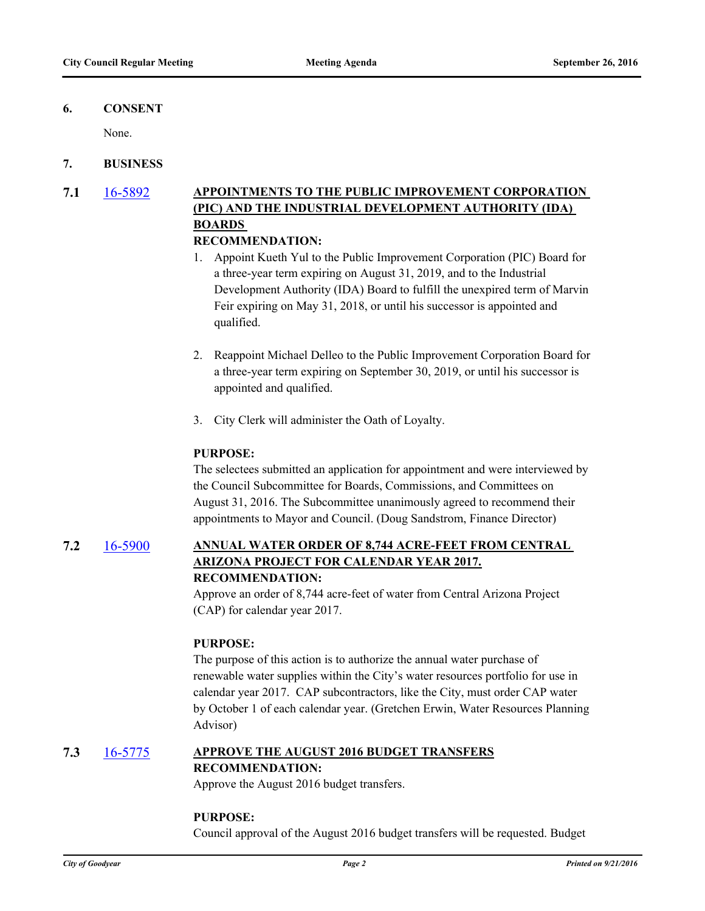### **6. CONSENT**

None.

### **7. BUSINESS**

**7.1** [16-5892](http://goodyear.legistar.com/gateway.aspx?m=l&id=/matter.aspx?key=3308) **APPOINTMENTS TO THE PUBLIC IMPROVEMENT CORPORATION (PIC) AND THE INDUSTRIAL DEVELOPMENT AUTHORITY (IDA) BOARDS** 

# **RECOMMENDATION:**

- 1. Appoint Kueth Yul to the Public Improvement Corporation (PIC) Board for a three-year term expiring on August 31, 2019, and to the Industrial Development Authority (IDA) Board to fulfill the unexpired term of Marvin Feir expiring on May 31, 2018, or until his successor is appointed and qualified.
- 2. Reappoint Michael Delleo to the Public Improvement Corporation Board for a three-year term expiring on September 30, 2019, or until his successor is appointed and qualified.
- 3. City Clerk will administer the Oath of Loyalty.

#### **PURPOSE:**

The selectees submitted an application for appointment and were interviewed by the Council Subcommittee for Boards, Commissions, and Committees on August 31, 2016. The Subcommittee unanimously agreed to recommend their appointments to Mayor and Council. (Doug Sandstrom, Finance Director)

# **7.2** [16-5900](http://goodyear.legistar.com/gateway.aspx?m=l&id=/matter.aspx?key=3307) **ANNUAL WATER ORDER OF 8,744 ACRE-FEET FROM CENTRAL ARIZONA PROJECT FOR CALENDAR YEAR 2017. RECOMMENDATION:**

Approve an order of 8,744 acre-feet of water from Central Arizona Project (CAP) for calendar year 2017.

### **PURPOSE:**

The purpose of this action is to authorize the annual water purchase of renewable water supplies within the City's water resources portfolio for use in calendar year 2017. CAP subcontractors, like the City, must order CAP water by October 1 of each calendar year. (Gretchen Erwin, Water Resources Planning Advisor)

# **7.3** [16-5775](http://goodyear.legistar.com/gateway.aspx?m=l&id=/matter.aspx?key=3321) **APPROVE THE AUGUST 2016 BUDGET TRANSFERS RECOMMENDATION:**

Approve the August 2016 budget transfers.

#### **PURPOSE:**

Council approval of the August 2016 budget transfers will be requested. Budget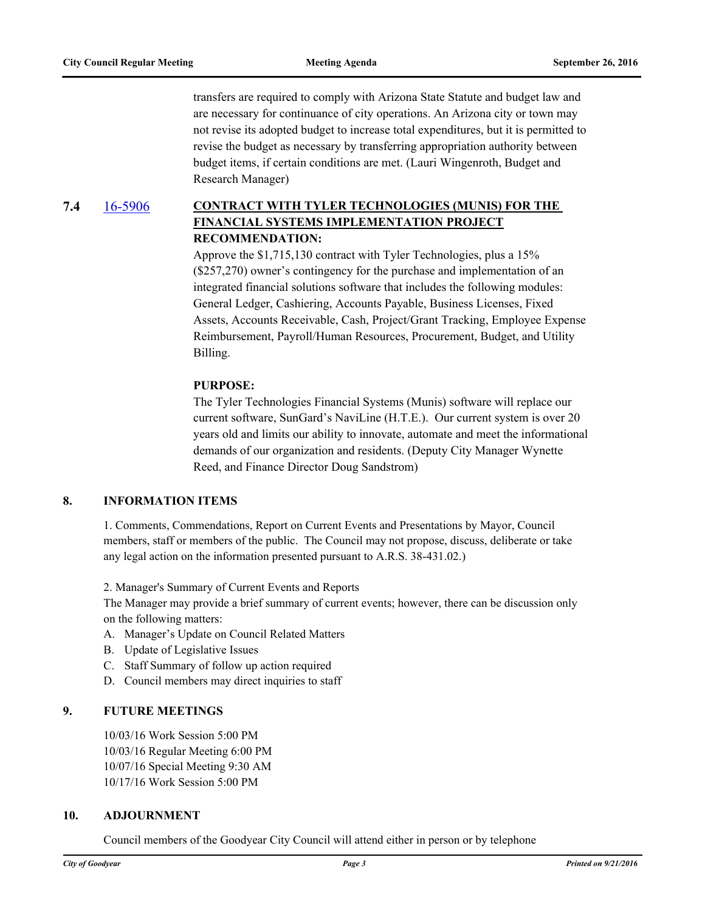transfers are required to comply with Arizona State Statute and budget law and are necessary for continuance of city operations. An Arizona city or town may not revise its adopted budget to increase total expenditures, but it is permitted to revise the budget as necessary by transferring appropriation authority between budget items, if certain conditions are met. (Lauri Wingenroth, Budget and Research Manager)

**7.4** [16-5906](http://goodyear.legistar.com/gateway.aspx?m=l&id=/matter.aspx?key=3325) **CONTRACT WITH TYLER TECHNOLOGIES (MUNIS) FOR THE FINANCIAL SYSTEMS IMPLEMENTATION PROJECT RECOMMENDATION:**

> Approve the \$1,715,130 contract with Tyler Technologies, plus a 15% (\$257,270) owner's contingency for the purchase and implementation of an integrated financial solutions software that includes the following modules: General Ledger, Cashiering, Accounts Payable, Business Licenses, Fixed Assets, Accounts Receivable, Cash, Project/Grant Tracking, Employee Expense Reimbursement, Payroll/Human Resources, Procurement, Budget, and Utility Billing.

#### **PURPOSE:**

The Tyler Technologies Financial Systems (Munis) software will replace our current software, SunGard's NaviLine (H.T.E.). Our current system is over 20 years old and limits our ability to innovate, automate and meet the informational demands of our organization and residents. (Deputy City Manager Wynette Reed, and Finance Director Doug Sandstrom)

### **8. INFORMATION ITEMS**

1. Comments, Commendations, Report on Current Events and Presentations by Mayor, Council members, staff or members of the public. The Council may not propose, discuss, deliberate or take any legal action on the information presented pursuant to A.R.S. 38-431.02.)

2. Manager's Summary of Current Events and Reports

The Manager may provide a brief summary of current events; however, there can be discussion only on the following matters:

- A. Manager's Update on Council Related Matters
- B. Update of Legislative Issues
- C. Staff Summary of follow up action required
- D. Council members may direct inquiries to staff

### **9. FUTURE MEETINGS**

10/03/16 Work Session 5:00 PM 10/03/16 Regular Meeting 6:00 PM 10/07/16 Special Meeting 9:30 AM 10/17/16 Work Session 5:00 PM

#### **10. ADJOURNMENT**

Council members of the Goodyear City Council will attend either in person or by telephone